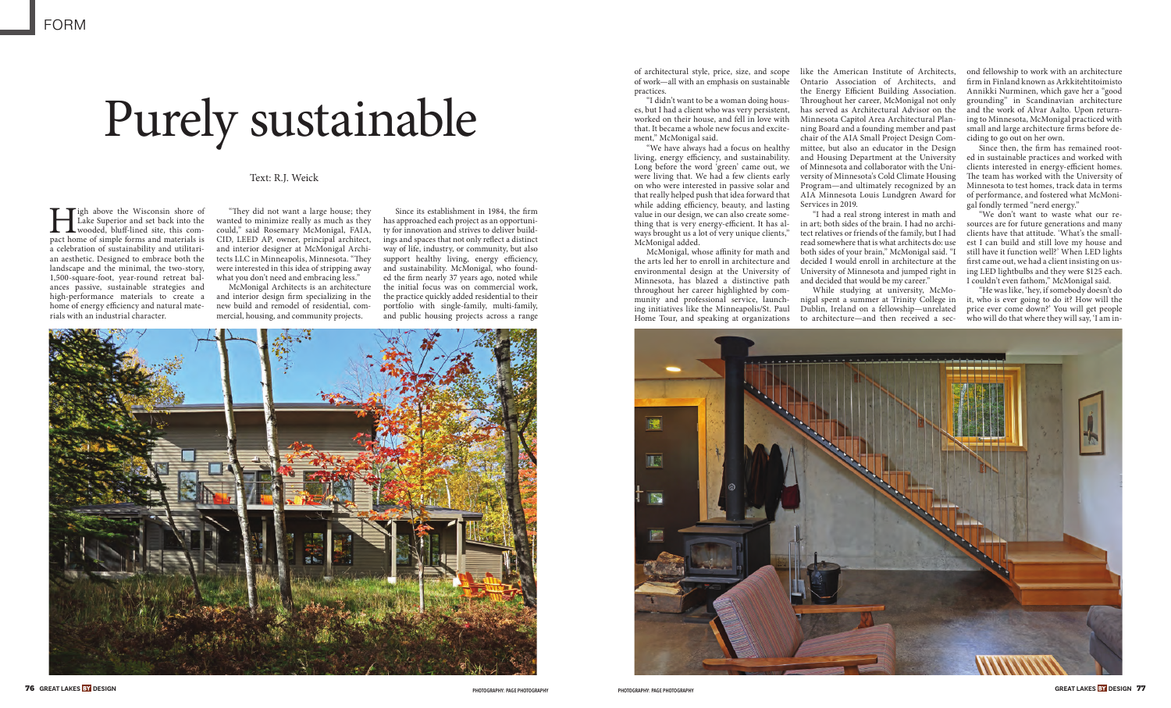

# Purely sustainable

### Text: R.J. Weick

**High above the Wisconsin shore of Lake Superior and set back into the wooded, bluff-lined site, this compact home of simple forms and materials is** Lake Superior and set back into the wooded, bluff-lined site, this coma celebration of sustainability and utilitarian aesthetic. Designed to embrace both the landscape and the minimal, the two-story, 1,500-square-foot, year-round retreat balances passive, sustainable strategies and high-performance materials to create a home of energy efficiency and natural materials with an industrial character.

"They did not want a large house; they wanted to minimize really as much as they could," said Rosemary McMonigal, FAIA, CID, LEED AP, owner, principal architect, and interior designer at McMonigal Architects LLC in Minneapolis, Minnesota. "They were interested in this idea of stripping away what you don't need and embracing less."

McMonigal Architects is an architecture and interior design firm specializing in the new build and remodel of residential, commercial, housing, and community projects.

Since its establishment in 1984, the firm has approached each project as an opportunity for innovation and strives to deliver buildings and spaces that not only reflect a distinct way of life, industry, or community, but also support healthy living, energy efficiency, and sustainability. McMonigal, who founded the firm nearly 37 years ago, noted while the initial focus was on commercial work, the practice quickly added residential to their portfolio with single-family, multi-family, and public housing projects across a range

of architectural style, price, size, and scope of work—all with an emphasis on sustainable practices.

"I didn't want to be a woman doing houses, but I had a client who was very persistent, worked on their house, and fell in love with that. It became a whole new focus and excitement," McMonigal said.

> While studying at university, McMonigal spent a summer at Trinity College in Dublin, Ireland on a fellowship—unrelated to architecture—and then received a sec-

"We have always had a focus on healthy living, energy efficiency, and sustainability. Long before the word 'green' came out, we of Minnesota and collaborator with the Uniwere living that. We had a few clients early on who were interested in passive solar and that really helped push that idea forward that while adding efficiency, beauty, and lasting value in our design, we can also create something that is very energy-efficient. It has always brought us a lot of very unique clients," McMonigal added.

> "He was like, 'hey, if somebody doesn't do it, who is ever going to do it? How will the price ever come down?' You will get people who will do that where they will say, 'I am in-

McMonigal, whose affinity for math and the arts led her to enroll in architecture and environmental design at the University of Minnesota, has blazed a distinctive path throughout her career highlighted by community and professional service, launching initiatives like the Minneapolis/St. Paul Home Tour, and speaking at organizations



like the American Institute of Architects, Ontario Association of Architects, and the Energy Efficient Building Association. Throughout her career, McMonigal not only has served as Architectural Advisor on the Minnesota Capitol Area Architectural Planning Board and a founding member and past chair of the AIA Small Project Design Committee, but also an educator in the Design and Housing Department at the University versity of Minnesota's Cold Climate Housing Program—and ultimately recognized by an AIA Minnesota Louis Lundgren Award for Services in 2019.

"I had a real strong interest in math and in art; both sides of the brain. I had no architect relatives or friends of the family, but I had read somewhere that is what architects do: use both sides of your brain," McMonigal said. "I decided I would enroll in architecture at the University of Minnesota and jumped right in and decided that would be my career."

ond fellowship to work with an architecture firm in Finland known as Arkkitehtitoimisto Annikki Nurminen, which gave her a "good grounding" in Scandinavian architecture and the work of Alvar Aalto. Upon returning to Minnesota, McMonigal practiced with small and large architecture firms before deciding to go out on her own.

Since then, the firm has remained rooted in sustainable practices and worked with clients interested in energy-efficient homes. The team has worked with the University of Minnesota to test homes, track data in terms of performance, and fostered what McMonigal fondly termed "nerd energy."

"We don't want to waste what our resources are for future generations and many clients have that attitude. 'What's the smallest I can build and still love my house and still have it function well?' When LED lights first came out, we had a client insisting on using LED lightbulbs and they were \$125 each. I couldn't even fathom," McMonigal said.